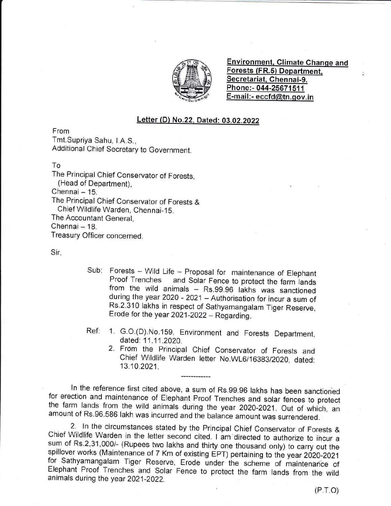

Environment. Climate Chanqe and Forests (FR.5) Department. Secretariat, Chennai-9. Phone:- 044-25671511 E-mail :- eccfd@tn.qov.in

ź.

## Letter (D) No.22, Dated: 03.02.2022

From

Tmt.Supriya Sahu, I.A.S.,

Additional Chief Secretary to Government.

To

The Principal Chief Conservator of Forests, (Head of Department),  $Chennai - 15$ .

The Principal Chief Conservator of Forests &

Chief Wildlife Warden, Chennai-15.

The Accountant General,

Chennai - 18.

Treasury Officer concerned.

Sir,

- Sub: Forests Wild Life Proposal for maintenance of Elephant<br>Proof Trenches and Solar Fence to protect the farm lands from the wild animals - Rs.99.96 lakhs was sanctioned during the year 2020 - 2021 - Authorisation for incur a sum of Rs.2.310 lakhs in respect of sathyamangalam Tiger Reserve, Erode for the year  $2021-2022 -$  Regarding.
- Ref: 1. G.o.(D).No.15g, Environment and Forests Department, dated: 11.11.2020.
	- 2. From the Principal Chief Conservator of Forests and Chief Wildlife Warden letter No.WL6/16383/2020, dated: 13.10.2021.

In the reference first cited above, a sum of Rs.99.96 lakhs has been sanctioned<br>for erection and maintenance of Elephant Proof Trenches and solar fences to protect<br>the farm lands from the wild animals during the year 2020-

2. In the circumstances stated by the Principal Chief Conservator of Forests & Chief Wildlife Warden in the letter second cited. I am'directed to authorize to ihcur <sup>a</sup> spillover works (Maintenance of 7 Km of existing EPT) pertaining to the year 2020-2021<br>for Sathyamangalam Tiger Reserve, Erode under the scheme of maintenance of<br>Elephant Proof Trenches and Solar Fence to protect the farm

 $(P.T.O)$